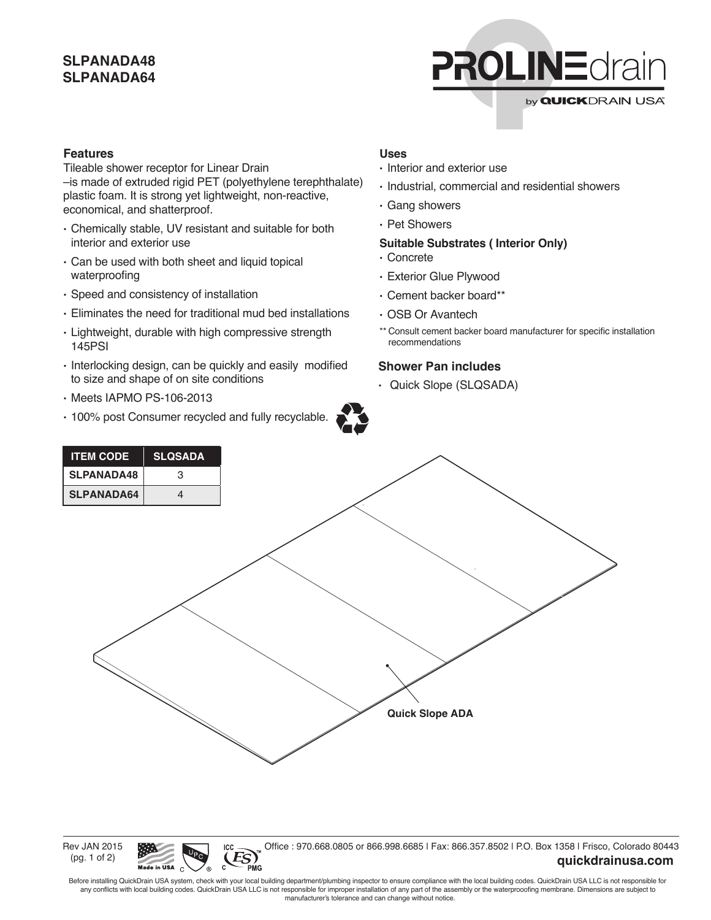# **SLPANADA48 SLPANADA64**



## **Features**

Tileable shower receptor for Linear Drain –is made of extruded rigid PET (polyethylene terephthalate) plastic foam. It is strong yet lightweight, non-reactive, economical, and shatterproof.

- Chemically stable, UV resistant and suitable for both interior and exterior use
- Can be used with both sheet and liquid topical waterproofing
- Speed and consistency of installation
- Eliminates the need for traditional mud bed installations
- Lightweight, durable with high compressive strength 145PSI
- Interlocking design, can be quickly and easily modified to size and shape of on site conditions
- Meets IAPMO PS-106-2013
- 100% post Consumer recycled and fully recyclable.



## **Uses**

- Interior and exterior use
- Industrial, commercial and residential showers
- Gang showers
- Pet Showers

#### **Suitable Substrates ( Interior Only)**

- Concrete
- Exterior Glue Plywood
- Cement backer board\*\*
- OSB Or Avantech
- \*\* Consult cement backer board manufacturer for specific installation recommendations

## **Shower Pan includes**

• Quick Slope (SLQSADA)



Rev JAN 2015 (pg. 1 of 2)



PMG

Office : 970.668.0805 or 866.998.6685 | Fax: 866.357.8502 | P.O. Box 1358 | Frisco, Colorado 80443

## **quickdrainusa.com**

Before installing QuickDrain USA system, check with your local building department/plumbing inspector to ensure compliance with the local building codes. QuickDrain USA LLC is not responsible for any conflicts with local building codes. QuickDrain USA LLC is not responsible for improper installation of any part of the assembly or the waterprooofing membrane. Dimensions are subject to manufacturer's tolerance and can change without notice.